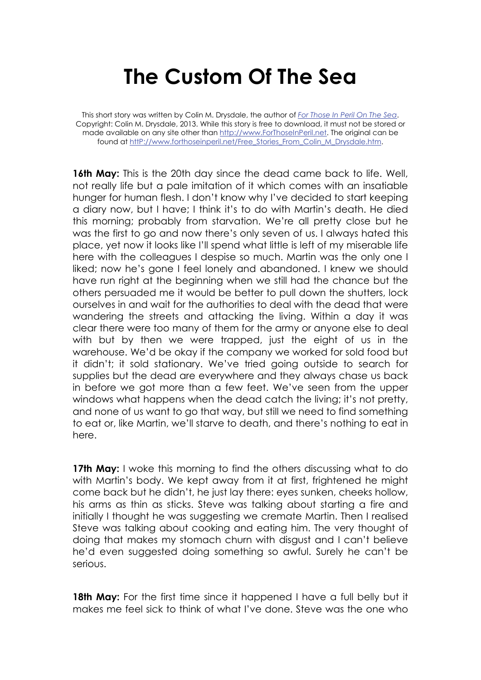## **The Custom Of The Sea**

This short story was written by Colin M. Drysdale, the author of *For Those In Peril On The Sea*. Copyright: Colin M. Drysdale, 2013. While this story is free to download, it must not be stored or made available on any site other than http://www.ForThoseInPeril.net. The original can be found at httP://www.forthoseinperil.net/Free\_Stories\_From\_Colin\_M\_Drysdale.htm.

**16th May:** This is the 20th day since the dead came back to life. Well, not really life but a pale imitation of it which comes with an insatiable hunger for human flesh. I don't know why I've decided to start keeping a diary now, but I have; I think it's to do with Martin's death. He died this morning; probably from starvation. We're all pretty close but he was the first to go and now there's only seven of us. I always hated this place, yet now it looks like I'll spend what little is left of my miserable life here with the colleagues I despise so much. Martin was the only one I liked; now he's gone I feel lonely and abandoned. I knew we should have run right at the beginning when we still had the chance but the others persuaded me it would be better to pull down the shutters, lock ourselves in and wait for the authorities to deal with the dead that were wandering the streets and attacking the living. Within a day it was clear there were too many of them for the army or anyone else to deal with but by then we were trapped, just the eight of us in the warehouse. We'd be okay if the company we worked for sold food but it didn't; it sold stationary. We've tried going outside to search for supplies but the dead are everywhere and they always chase us back in before we got more than a few feet. We've seen from the upper windows what happens when the dead catch the living; it's not pretty, and none of us want to go that way, but still we need to find something to eat or, like Martin, we'll starve to death, and there's nothing to eat in here.

**17th May:** I woke this morning to find the others discussing what to do with Martin's body. We kept away from it at first, frightened he might come back but he didn't, he just lay there: eyes sunken, cheeks hollow, his arms as thin as sticks. Steve was talking about starting a fire and initially I thought he was suggesting we cremate Martin. Then I realised Steve was talking about cooking and eating him. The very thought of doing that makes my stomach churn with disgust and I can't believe he'd even suggested doing something so awful. Surely he can't be serious.

**18th May:** For the first time since it happened I have a full belly but it makes me feel sick to think of what I've done. Steve was the one who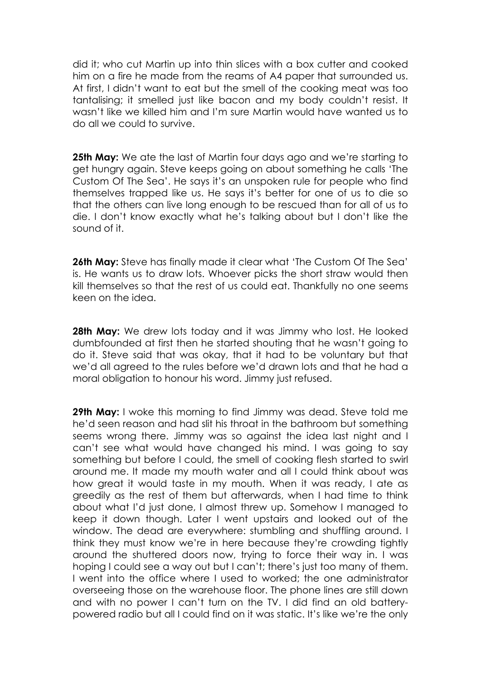did it; who cut Martin up into thin slices with a box cutter and cooked him on a fire he made from the reams of A4 paper that surrounded us. At first, I didn't want to eat but the smell of the cooking meat was too tantalising; it smelled just like bacon and my body couldn't resist. It wasn't like we killed him and I'm sure Martin would have wanted us to do all we could to survive.

**25th May:** We ate the last of Martin four days ago and we're starting to get hungry again. Steve keeps going on about something he calls 'The Custom Of The Sea'. He says it's an unspoken rule for people who find themselves trapped like us. He says it's better for one of us to die so that the others can live long enough to be rescued than for all of us to die. I don't know exactly what he's talking about but I don't like the sound of it.

**26th May:** Steve has finally made it clear what 'The Custom Of The Sea' is. He wants us to draw lots. Whoever picks the short straw would then kill themselves so that the rest of us could eat. Thankfully no one seems keen on the idea.

**28th May:** We drew lots today and it was Jimmy who lost. He looked dumbfounded at first then he started shouting that he wasn't going to do it. Steve said that was okay, that it had to be voluntary but that we'd all agreed to the rules before we'd drawn lots and that he had a moral obligation to honour his word. Jimmy just refused.

**29th May:** I woke this morning to find Jimmy was dead. Steve told me he'd seen reason and had slit his throat in the bathroom but something seems wrong there. Jimmy was so against the idea last night and I can't see what would have changed his mind. I was going to say something but before I could, the smell of cooking flesh started to swirl around me. It made my mouth water and all I could think about was how great it would taste in my mouth. When it was ready, I ate as greedily as the rest of them but afterwards, when I had time to think about what I'd just done, I almost threw up. Somehow I managed to keep it down though. Later I went upstairs and looked out of the window. The dead are everywhere: stumbling and shuffling around. I think they must know we're in here because they're crowding tightly around the shuttered doors now, trying to force their way in. I was hoping I could see a way out but I can't; there's just too many of them. I went into the office where I used to worked; the one administrator overseeing those on the warehouse floor. The phone lines are still down and with no power I can't turn on the TV. I did find an old batterypowered radio but all I could find on it was static. It's like we're the only